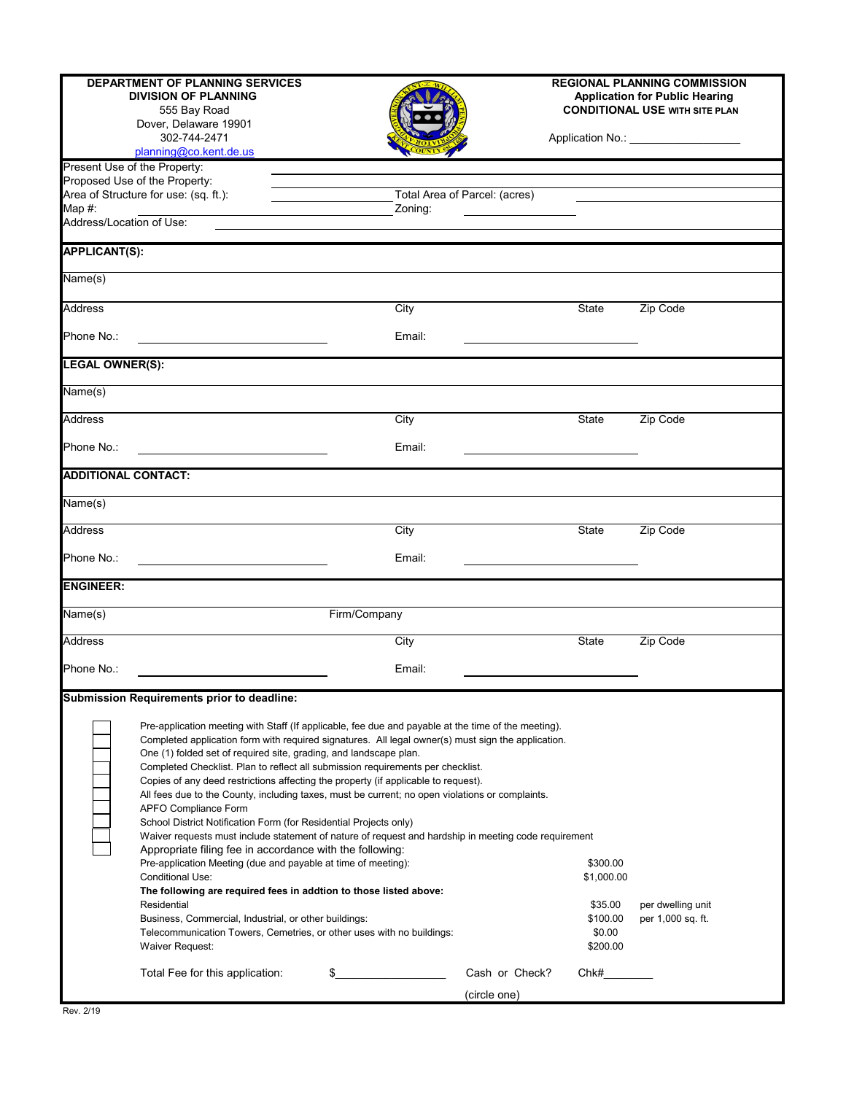| <b>DEPARTMENT OF PLANNING SERVICES</b><br><b>DIVISION OF PLANNING</b><br>555 Bay Road<br>Dover, Delaware 19901<br>302-744-2471<br>planning@co.kent.de.us |                                                                                                                                                                                                                                                                                                                                                                                                                                                                                                                                                                                                                                                                                                                                                                                                                                                                                                                                                                                                                                                                                                                                                                         |                               | <b>REGIONAL PLANNING COMMISSION</b><br><b>Application for Public Hearing</b><br><b>CONDITIONAL USE WITH SITE PLAN</b><br>Application No.: ___________________ |                                                                     |                                        |
|----------------------------------------------------------------------------------------------------------------------------------------------------------|-------------------------------------------------------------------------------------------------------------------------------------------------------------------------------------------------------------------------------------------------------------------------------------------------------------------------------------------------------------------------------------------------------------------------------------------------------------------------------------------------------------------------------------------------------------------------------------------------------------------------------------------------------------------------------------------------------------------------------------------------------------------------------------------------------------------------------------------------------------------------------------------------------------------------------------------------------------------------------------------------------------------------------------------------------------------------------------------------------------------------------------------------------------------------|-------------------------------|---------------------------------------------------------------------------------------------------------------------------------------------------------------|---------------------------------------------------------------------|----------------------------------------|
|                                                                                                                                                          | Present Use of the Property:                                                                                                                                                                                                                                                                                                                                                                                                                                                                                                                                                                                                                                                                                                                                                                                                                                                                                                                                                                                                                                                                                                                                            |                               |                                                                                                                                                               |                                                                     |                                        |
|                                                                                                                                                          | Proposed Use of the Property:<br>Area of Structure for use: (sq. ft.):                                                                                                                                                                                                                                                                                                                                                                                                                                                                                                                                                                                                                                                                                                                                                                                                                                                                                                                                                                                                                                                                                                  | Total Area of Parcel: (acres) |                                                                                                                                                               |                                                                     |                                        |
| Map $#$ :                                                                                                                                                |                                                                                                                                                                                                                                                                                                                                                                                                                                                                                                                                                                                                                                                                                                                                                                                                                                                                                                                                                                                                                                                                                                                                                                         | Zoning:                       |                                                                                                                                                               |                                                                     |                                        |
| Address/Location of Use:                                                                                                                                 |                                                                                                                                                                                                                                                                                                                                                                                                                                                                                                                                                                                                                                                                                                                                                                                                                                                                                                                                                                                                                                                                                                                                                                         |                               |                                                                                                                                                               |                                                                     |                                        |
| <b>APPLICANT(S):</b>                                                                                                                                     |                                                                                                                                                                                                                                                                                                                                                                                                                                                                                                                                                                                                                                                                                                                                                                                                                                                                                                                                                                                                                                                                                                                                                                         |                               |                                                                                                                                                               |                                                                     |                                        |
|                                                                                                                                                          |                                                                                                                                                                                                                                                                                                                                                                                                                                                                                                                                                                                                                                                                                                                                                                                                                                                                                                                                                                                                                                                                                                                                                                         |                               |                                                                                                                                                               |                                                                     |                                        |
| Name(s)                                                                                                                                                  |                                                                                                                                                                                                                                                                                                                                                                                                                                                                                                                                                                                                                                                                                                                                                                                                                                                                                                                                                                                                                                                                                                                                                                         |                               |                                                                                                                                                               |                                                                     |                                        |
| <b>Address</b>                                                                                                                                           |                                                                                                                                                                                                                                                                                                                                                                                                                                                                                                                                                                                                                                                                                                                                                                                                                                                                                                                                                                                                                                                                                                                                                                         | $\overline{City}$             |                                                                                                                                                               | State                                                               | Zip Code                               |
| Phone No.:                                                                                                                                               |                                                                                                                                                                                                                                                                                                                                                                                                                                                                                                                                                                                                                                                                                                                                                                                                                                                                                                                                                                                                                                                                                                                                                                         | Email:                        |                                                                                                                                                               |                                                                     |                                        |
| <b>LEGAL OWNER(S):</b>                                                                                                                                   |                                                                                                                                                                                                                                                                                                                                                                                                                                                                                                                                                                                                                                                                                                                                                                                                                                                                                                                                                                                                                                                                                                                                                                         |                               |                                                                                                                                                               |                                                                     |                                        |
| Name(s)                                                                                                                                                  |                                                                                                                                                                                                                                                                                                                                                                                                                                                                                                                                                                                                                                                                                                                                                                                                                                                                                                                                                                                                                                                                                                                                                                         |                               |                                                                                                                                                               |                                                                     |                                        |
| <b>Address</b>                                                                                                                                           |                                                                                                                                                                                                                                                                                                                                                                                                                                                                                                                                                                                                                                                                                                                                                                                                                                                                                                                                                                                                                                                                                                                                                                         |                               |                                                                                                                                                               | State                                                               |                                        |
|                                                                                                                                                          |                                                                                                                                                                                                                                                                                                                                                                                                                                                                                                                                                                                                                                                                                                                                                                                                                                                                                                                                                                                                                                                                                                                                                                         | City                          |                                                                                                                                                               |                                                                     | Zip Code                               |
| Phone No.:                                                                                                                                               |                                                                                                                                                                                                                                                                                                                                                                                                                                                                                                                                                                                                                                                                                                                                                                                                                                                                                                                                                                                                                                                                                                                                                                         | Email:                        |                                                                                                                                                               |                                                                     |                                        |
| <b>ADDITIONAL CONTACT:</b>                                                                                                                               |                                                                                                                                                                                                                                                                                                                                                                                                                                                                                                                                                                                                                                                                                                                                                                                                                                                                                                                                                                                                                                                                                                                                                                         |                               |                                                                                                                                                               |                                                                     |                                        |
| Name(s)                                                                                                                                                  |                                                                                                                                                                                                                                                                                                                                                                                                                                                                                                                                                                                                                                                                                                                                                                                                                                                                                                                                                                                                                                                                                                                                                                         |                               |                                                                                                                                                               |                                                                     |                                        |
| Address                                                                                                                                                  |                                                                                                                                                                                                                                                                                                                                                                                                                                                                                                                                                                                                                                                                                                                                                                                                                                                                                                                                                                                                                                                                                                                                                                         | City                          |                                                                                                                                                               | State                                                               | Zip Code                               |
| Phone No.:                                                                                                                                               |                                                                                                                                                                                                                                                                                                                                                                                                                                                                                                                                                                                                                                                                                                                                                                                                                                                                                                                                                                                                                                                                                                                                                                         | Email:                        |                                                                                                                                                               |                                                                     |                                        |
|                                                                                                                                                          |                                                                                                                                                                                                                                                                                                                                                                                                                                                                                                                                                                                                                                                                                                                                                                                                                                                                                                                                                                                                                                                                                                                                                                         |                               |                                                                                                                                                               |                                                                     |                                        |
| <b>ENGINEER:</b>                                                                                                                                         |                                                                                                                                                                                                                                                                                                                                                                                                                                                                                                                                                                                                                                                                                                                                                                                                                                                                                                                                                                                                                                                                                                                                                                         |                               |                                                                                                                                                               |                                                                     |                                        |
| Name(s)                                                                                                                                                  |                                                                                                                                                                                                                                                                                                                                                                                                                                                                                                                                                                                                                                                                                                                                                                                                                                                                                                                                                                                                                                                                                                                                                                         | Firm/Company                  |                                                                                                                                                               |                                                                     |                                        |
| <b>Address</b>                                                                                                                                           |                                                                                                                                                                                                                                                                                                                                                                                                                                                                                                                                                                                                                                                                                                                                                                                                                                                                                                                                                                                                                                                                                                                                                                         | City                          |                                                                                                                                                               | State                                                               | Zip Code                               |
| Phone No.:                                                                                                                                               |                                                                                                                                                                                                                                                                                                                                                                                                                                                                                                                                                                                                                                                                                                                                                                                                                                                                                                                                                                                                                                                                                                                                                                         | Email:                        |                                                                                                                                                               |                                                                     |                                        |
|                                                                                                                                                          | Submission Requirements prior to deadline:                                                                                                                                                                                                                                                                                                                                                                                                                                                                                                                                                                                                                                                                                                                                                                                                                                                                                                                                                                                                                                                                                                                              |                               |                                                                                                                                                               |                                                                     |                                        |
|                                                                                                                                                          | Pre-application meeting with Staff (If applicable, fee due and payable at the time of the meeting).<br>Completed application form with required signatures. All legal owner(s) must sign the application.<br>One (1) folded set of required site, grading, and landscape plan.<br>Completed Checklist. Plan to reflect all submission requirements per checklist.<br>Copies of any deed restrictions affecting the property (if applicable to request).<br>All fees due to the County, including taxes, must be current; no open violations or complaints.<br><b>APFO Compliance Form</b><br>School District Notification Form (for Residential Projects only)<br>Waiver requests must include statement of nature of request and hardship in meeting code requirement<br>Appropriate filing fee in accordance with the following:<br>Pre-application Meeting (due and payable at time of meeting):<br><b>Conditional Use:</b><br>The following are required fees in addtion to those listed above:<br>Residential<br>Business, Commercial, Industrial, or other buildings:<br>Telecommunication Towers, Cemetries, or other uses with no buildings:<br>Waiver Request: |                               |                                                                                                                                                               | \$300.00<br>\$1,000.00<br>\$35.00<br>\$100.00<br>\$0.00<br>\$200.00 | per dwelling unit<br>per 1,000 sq. ft. |
|                                                                                                                                                          | Total Fee for this application:                                                                                                                                                                                                                                                                                                                                                                                                                                                                                                                                                                                                                                                                                                                                                                                                                                                                                                                                                                                                                                                                                                                                         | \$.                           | Cash or Check?                                                                                                                                                | Chk#                                                                |                                        |
|                                                                                                                                                          |                                                                                                                                                                                                                                                                                                                                                                                                                                                                                                                                                                                                                                                                                                                                                                                                                                                                                                                                                                                                                                                                                                                                                                         |                               | (circle one)                                                                                                                                                  |                                                                     |                                        |